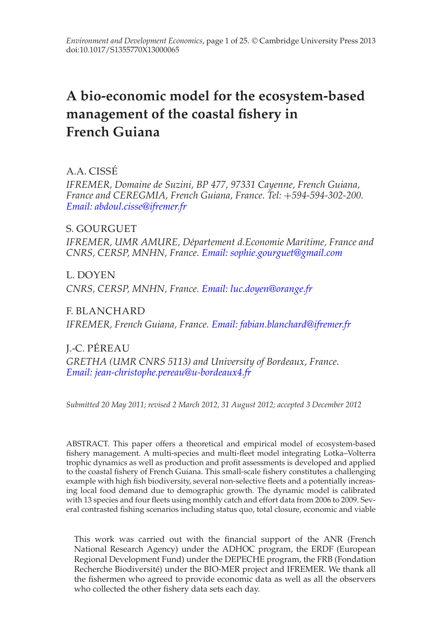# **A bio-economic model for the ecosystem-based management of the coastal fishery in French Guiana**

A.A. CISSE´

*IFREMER, Domaine de Suzini, BP 477, 97331 Cayenne, French Guiana, France and CEREGMIA, French Guiana, France. Tel:* +*594-594-302-200. [Email: abdoul.cisse@ifremer.fr](mailto:abdoul.cisse@ifremer.fr)*

S. GOURGUET *IFREMER, UMR AMURE, D´epartement d.Economie Maritime, France and CNRS, CERSP, MNHN, France. [Email: sophie.gourguet@gmail.com](mailto:sophie.gourguet@gmail.com)*

L. DOYEN *CNRS, CERSP, MNHN, France. [Email: luc.doyen@orange.fr](mailto:luc.doyen@orange.fr)*

F. BLANCHARD *IFREMER, French Guiana, France. [Email: fabian.blanchard@ifremer.fr](mailto:fabian.blanchard@ifremer.fr)*

J.-C. PEREAU ´ *GRETHA (UMR CNRS 5113) and University of Bordeaux, France. [Email: jean-christophe.pereau@u-bordeaux4.fr](mailto:jean-christophe.pereau@u-bordeaux4.fr)*

*Submitted 20 May 2011; revised 2 March 2012, 31 August 2012; accepted 3 December 2012*

ABSTRACT. This paper offers a theoretical and empirical model of ecosystem-based fishery management. A multi-species and multi-fleet model integrating Lotka–Volterra trophic dynamics as well as production and profit assessments is developed and applied to the coastal fishery of French Guiana. This small-scale fishery constitutes a challenging example with high fish biodiversity, several non-selective fleets and a potentially increasing local food demand due to demographic growth. The dynamic model is calibrated with 13 species and four fleets using monthly catch and effort data from 2006 to 2009. Several contrasted fishing scenarios including status quo, total closure, economic and viable

This work was carried out with the financial support of the ANR (French National Research Agency) under the ADHOC program, the ERDF (European Regional Development Fund) under the DEPECHE program, the FRB (Fondation Recherche Biodiversite) under the BIO-MER project and IFREMER. We thank all ´ the fishermen who agreed to provide economic data as well as all the observers who collected the other fishery data sets each day.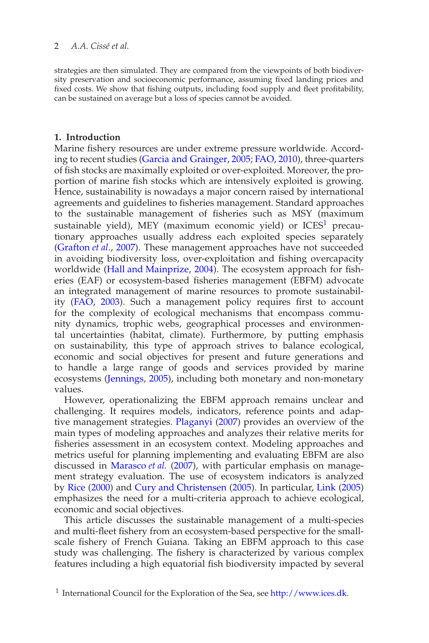# 2 *A.A. Cissé et al.*

strategies are then simulated. They are compared from the viewpoints of both biodiversity preservation and socioeconomic performance, assuming fixed landing prices and fixed costs. We show that fishing outputs, including food supply and fleet profitability, can be sustained on average but a loss of species cannot be avoided.

# **1. Introduction**

Marine fishery resources are under extreme pressure worldwide. According to recent studies (Garcia and Grainger, 2005; FAO, 2010), three-quarters of fish stocks are maximally exploited or over-exploited. Moreover, the proportion of marine fish stocks which are intensively exploited is growing. Hence, sustainability is nowadays a major concern raised by international agreements and guidelines to fisheries management. Standard approaches to the sustainable management of fisheries such as MSY (maximum sustainable yield), MEY (maximum economic yield) or  $ICES<sup>1</sup>$  precautionary approaches usually address each exploited species separately (Grafton *et al.*, 2007). These management approaches have not succeeded in avoiding biodiversity loss, over-exploitation and fishing overcapacity worldwide (Hall and Mainprize, 2004). The ecosystem approach for fisheries (EAF) or ecosystem-based fisheries management (EBFM) advocate an integrated management of marine resources to promote sustainability (FAO, 2003). Such a management policy requires first to account for the complexity of ecological mechanisms that encompass community dynamics, trophic webs, geographical processes and environmental uncertainties (habitat, climate). Furthermore, by putting emphasis on sustainability, this type of approach strives to balance ecological, economic and social objectives for present and future generations and to handle a large range of goods and services provided by marine ecosystems (Jennings, 2005), including both monetary and non-monetary values.

However, operationalizing the EBFM approach remains unclear and challenging. It requires models, indicators, reference points and adaptive management strategies. Plaganyi (2007) provides an overview of the main types of modeling approaches and analyzes their relative merits for fisheries assessment in an ecosystem context. Modeling approaches and metrics useful for planning implementing and evaluating EBFM are also discussed in Marasco *et al.* (2007), with particular emphasis on management strategy evaluation. The use of ecosystem indicators is analyzed by Rice (2000) and Cury and Christensen (2005). In particular, Link (2005) emphasizes the need for a multi-criteria approach to achieve ecological, economic and social objectives.

This article discusses the sustainable management of a multi-species and multi-fleet fishery from an ecosystem-based perspective for the smallscale fishery of French Guiana. Taking an EBFM approach to this case study was challenging. The fishery is characterized by various complex features including a high equatorial fish biodiversity impacted by several

<sup>&</sup>lt;sup>1</sup> International Council for the Exploration of the Sea, see [http://www.ices.dk.](http://www.ices.dk)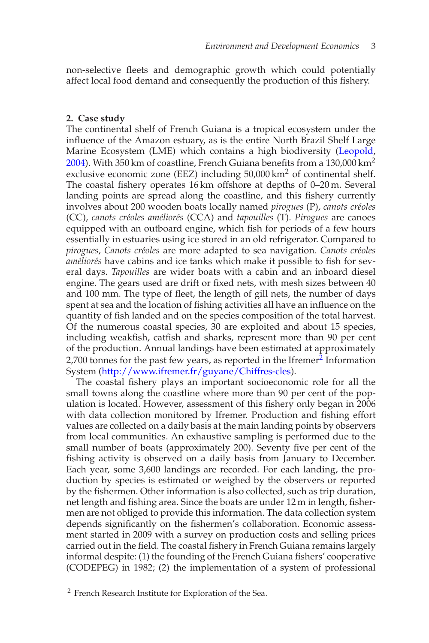non-selective fleets and demographic growth which could potentially affect local food demand and consequently the production of this fishery.

## **2. Case study**

The continental shelf of French Guiana is a tropical ecosystem under the influence of the Amazon estuary, as is the entire North Brazil Shelf Large Marine Ecosystem (LME) which contains a high biodiversity (Leopold, 2004). With 350 km of coastline, French Guiana benefits from a 130,000 km2 exclusive economic zone (EEZ) including 50,000 km<sup>2</sup> of continental shelf. The coastal fishery operates 16 km offshore at depths of 0–20 m. Several landing points are spread along the coastline, and this fishery currently involves about 200 wooden boats locally named *pirogues* (P), *canots créoles* (CC), *canots cr´eoles am´elior´es* (CCA) and *tapouilles* (T). *Pirogues* are canoes equipped with an outboard engine, which fish for periods of a few hours essentially in estuaries using ice stored in an old refrigerator. Compared to *pirogues*, *Canots cr´eoles* are more adapted to sea navigation. *Canots cr´eoles* améliorés have cabins and ice tanks which make it possible to fish for several days. *Tapouilles* are wider boats with a cabin and an inboard diesel engine. The gears used are drift or fixed nets, with mesh sizes between 40 and 100 mm. The type of fleet, the length of gill nets, the number of days spent at sea and the location of fishing activities all have an influence on the quantity of fish landed and on the species composition of the total harvest. Of the numerous coastal species, 30 are exploited and about 15 species, including weakfish, catfish and sharks, represent more than 90 per cent of the production. Annual landings have been estimated at approximately 2,700 tonnes for the past few years, as reported in the Ifremer $2$  Information System [\(http://www.ifremer.fr/guyane/Chiffres-cles\)](http://www.ifremer.fr/guyane/Chiffres-cles).

The coastal fishery plays an important socioeconomic role for all the small towns along the coastline where more than 90 per cent of the population is located. However, assessment of this fishery only began in 2006 with data collection monitored by Ifremer. Production and fishing effort values are collected on a daily basis at the main landing points by observers from local communities. An exhaustive sampling is performed due to the small number of boats (approximately 200). Seventy five per cent of the fishing activity is observed on a daily basis from January to December. Each year, some 3,600 landings are recorded. For each landing, the production by species is estimated or weighed by the observers or reported by the fishermen. Other information is also collected, such as trip duration, net length and fishing area. Since the boats are under 12 m in length, fishermen are not obliged to provide this information. The data collection system depends significantly on the fishermen's collaboration. Economic assessment started in 2009 with a survey on production costs and selling prices carried out in the field. The coastal fishery in French Guiana remains largely informal despite: (1) the founding of the French Guiana fishers' cooperative (CODEPEG) in 1982; (2) the implementation of a system of professional

<sup>2</sup> French Research Institute for Exploration of the Sea.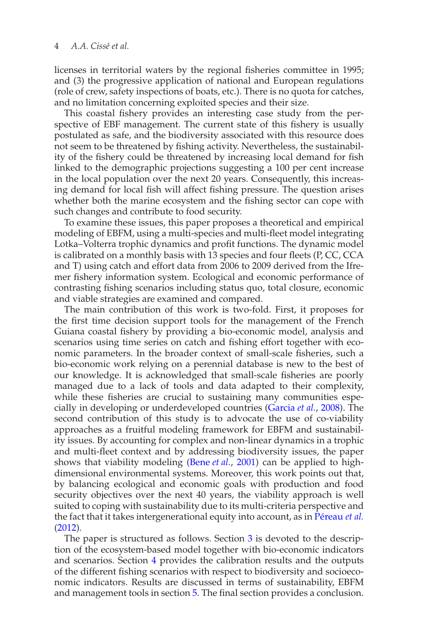licenses in territorial waters by the regional fisheries committee in 1995; and (3) the progressive application of national and European regulations (role of crew, safety inspections of boats, etc.). There is no quota for catches, and no limitation concerning exploited species and their size.

This coastal fishery provides an interesting case study from the perspective of EBF management. The current state of this fishery is usually postulated as safe, and the biodiversity associated with this resource does not seem to be threatened by fishing activity. Nevertheless, the sustainability of the fishery could be threatened by increasing local demand for fish linked to the demographic projections suggesting a 100 per cent increase in the local population over the next 20 years. Consequently, this increasing demand for local fish will affect fishing pressure. The question arises whether both the marine ecosystem and the fishing sector can cope with such changes and contribute to food security.

To examine these issues, this paper proposes a theoretical and empirical modeling of EBFM, using a multi-species and multi-fleet model integrating Lotka–Volterra trophic dynamics and profit functions. The dynamic model is calibrated on a monthly basis with 13 species and four fleets (P, CC, CCA and T) using catch and effort data from 2006 to 2009 derived from the Ifremer fishery information system. Ecological and economic performance of contrasting fishing scenarios including status quo, total closure, economic and viable strategies are examined and compared.

The main contribution of this work is two-fold. First, it proposes for the first time decision support tools for the management of the French Guiana coastal fishery by providing a bio-economic model, analysis and scenarios using time series on catch and fishing effort together with economic parameters. In the broader context of small-scale fisheries, such a bio-economic work relying on a perennial database is new to the best of our knowledge. It is acknowledged that small-scale fisheries are poorly managed due to a lack of tools and data adapted to their complexity, while these fisheries are crucial to sustaining many communities especially in developing or underdeveloped countries (Garcia *et al.*, 2008). The second contribution of this study is to advocate the use of co-viability approaches as a fruitful modeling framework for EBFM and sustainability issues. By accounting for complex and non-linear dynamics in a trophic and multi-fleet context and by addressing biodiversity issues, the paper shows that viability modeling (Bene *et al.*, 2001) can be applied to highdimensional environmental systems. Moreover, this work points out that, by balancing ecological and economic goals with production and food security objectives over the next 40 years, the viability approach is well suited to coping with sustainability due to its multi-criteria perspective and the fact that it takes intergenerational equity into account, as in Péreau et al. (2012).

The paper is structured as follows. Section 3 is devoted to the description of the ecosystem-based model together with bio-economic indicators and scenarios. Section 4 provides the calibration results and the outputs of the different fishing scenarios with respect to biodiversity and socioeconomic indicators. Results are discussed in terms of sustainability, EBFM and management tools in section 5. The final section provides a conclusion.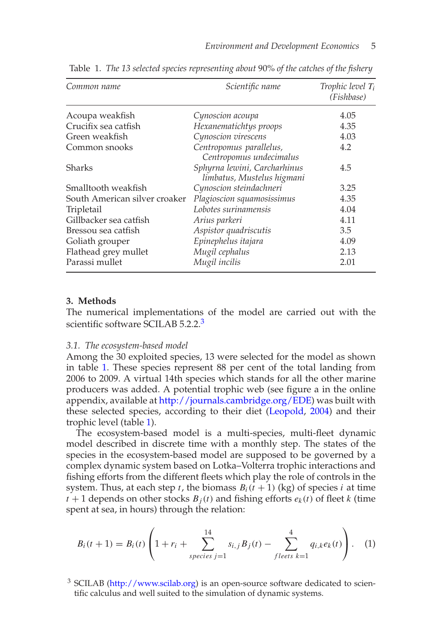| Common name                   | Scientific name                                            | Trophic level $T_i$<br>(Fishbase) |
|-------------------------------|------------------------------------------------------------|-----------------------------------|
| Acoupa weakfish               | Cynoscion acoupa                                           | 4.05                              |
| Crucifix sea catfish          | Hexanematichtys proops                                     | 4.35                              |
| Green weakfish                | Cynoscion virescens                                        | 4.03                              |
| Common snooks                 | Centropomus parallelus,<br>Centropomus undecimalus         | 4.2                               |
| <b>Sharks</b>                 | Sphyrna lewini, Carcharhinus<br>limbatus, Mustelus higmani | 4.5                               |
| Smalltooth weakfish           | Cynoscion steindachneri                                    | 3.25                              |
| South American silver croaker | Plagioscion squamosissimus                                 | 4.35                              |
| Tripletail                    | Lobotes surinamensis                                       | 4.04                              |
| Gillbacker sea catfish        | Arius parkeri                                              | 4.11                              |
| Bressou sea catfish           | Aspistor quadriscutis                                      | 3.5                               |
| Goliath grouper               | Epinephelus itajara                                        | 4.09                              |
| Flathead grey mullet          | Mugil cephalus                                             | 2.13                              |
| Parassi mullet                | Mugil incilis                                              | 2.01                              |

Table 1. *The 13 selected species representing about* 90% *of the catches of the fishery*

# **3. Methods**

The numerical implementations of the model are carried out with the scientific software SCILAB 5.2.2.<sup>3</sup>

#### *3.1. The ecosystem-based model*

Among the 30 exploited species, 13 were selected for the model as shown in table 1. These species represent 88 per cent of the total landing from 2006 to 2009. A virtual 14th species which stands for all the other marine producers was added. A potential trophic web (see figure a in the online appendix, available at [http://journals.cambridge.org/EDE\)](http://journals.cambridge.org/EDE) was built with these selected species, according to their diet (Leopold, 2004) and their trophic level (table 1).

The ecosystem-based model is a multi-species, multi-fleet dynamic model described in discrete time with a monthly step. The states of the species in the ecosystem-based model are supposed to be governed by a complex dynamic system based on Lotka–Volterra trophic interactions and fishing efforts from the different fleets which play the role of controls in the system. Thus, at each step *t*, the biomass  $B_i(t + 1)$  (kg) of species *i* at time  $t + 1$  depends on other stocks  $B_i(t)$  and fishing efforts  $e_k(t)$  of fleet *k* (time spent at sea, in hours) through the relation:

$$
B_i(t+1) = B_i(t) \left( 1 + r_i + \sum_{species \ j=1}^{14} s_{i,j} B_j(t) - \sum_{f}{\sum_{e \ \text{ } \text{ } k=1}^{4} q_{i,k} e_k(t)} \right). \tag{1}
$$

<sup>3</sup> SCILAB [\(http://www.scilab.org\)](http://www.scilab.org) is an open-source software dedicated to scientific calculus and well suited to the simulation of dynamic systems.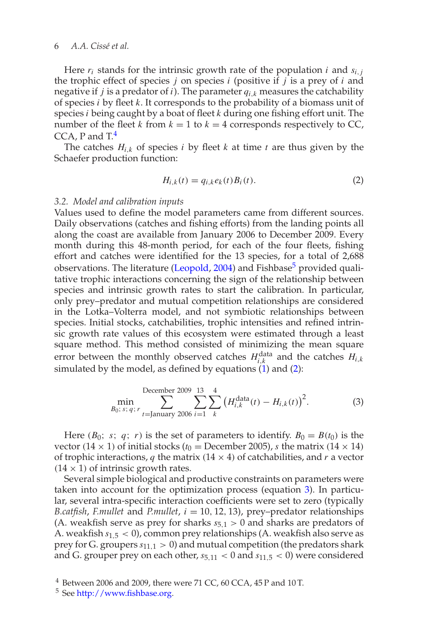# 6 *A.A. Ciss´e et al.*

Here  $r_i$  stands for the intrinsic growth rate of the population *i* and  $s_{i,j}$ the trophic effect of species *j* on species *i* (positive if *j* is a prey of *i* and negative if *j* is a predator of *i*). The parameter *qi*,*<sup>k</sup>* measures the catchability of species *i* by fleet *k*. It corresponds to the probability of a biomass unit of species *i* being caught by a boat of fleet *k* during one fishing effort unit. The number of the fleet *k* from  $k = 1$  to  $k = 4$  corresponds respectively to CC, CCA, P and  $T<sup>4</sup>$ 

The catches  $H_{i,k}$  of species *i* by fleet *k* at time *t* are thus given by the Schaefer production function:

$$
H_{i,k}(t) = q_{i,k}e_k(t)B_i(t).
$$
 (2)

#### *3.2. Model and calibration inputs*

Values used to define the model parameters came from different sources. Daily observations (catches and fishing efforts) from the landing points all along the coast are available from January 2006 to December 2009. Every month during this 48-month period, for each of the four fleets, fishing effort and catches were identified for the 13 species, for a total of 2,688 observations. The literature (Leopold, 2004) and Fishbase<sup>5</sup> provided qualitative trophic interactions concerning the sign of the relationship between species and intrinsic growth rates to start the calibration. In particular, only prey–predator and mutual competition relationships are considered in the Lotka–Volterra model, and not symbiotic relationships between species. Initial stocks, catchabilities, trophic intensities and refined intrinsic growth rate values of this ecosystem were estimated through a least square method. This method consisted of minimizing the mean square error between the monthly observed catches  $H_{i,k}^{\text{data}}$  and the catches  $H_{i,k}$ simulated by the model, as defined by equations  $(1)$  and  $(2)$ :

December 2009 13 4  
min  

$$
B_0
$$
; *s*; *q*; *r*<sub>t=January</sub> 2006 *i*=1  $k$   $(H_{i,k}^{\text{data}}(t) - H_{i,k}(t))^2$ . (3)

Here (*B*<sub>0</sub>; *s*; *q*; *r*) is the set of parameters to identify.  $B_0 = B(t_0)$  is the vector (14  $\times$  1) of initial stocks ( $t_0$  = December 2005), *s* the matrix (14  $\times$  14) of trophic interactions, *q* the matrix  $(14 \times 4)$  of catchabilities, and *r* a vector  $(14 \times 1)$  of intrinsic growth rates.

Several simple biological and productive constraints on parameters were taken into account for the optimization process (equation 3). In particular, several intra-specific interaction coefficients were set to zero (typically *B.catfish, F.mullet* and *P.mullet,*  $i = 10, 12, 13$ *),* prey-predator relationships (A. weakfish serve as prey for sharks  $s_{5,1} > 0$  and sharks are predators of A. weakfish *s*1,<sup>5</sup> < 0), common prey relationships (A. weakfish also serve as prey for G. groupers  $s_{11,1} > 0$ ) and mutual competition (the predators shark and G. grouper prey on each other,  $s_{5,11} < 0$  and  $s_{11,5} < 0$ ) were considered

 $4$  Between 2006 and 2009, there were 71 CC, 60 CCA, 45 P and 10 T.

<sup>5</sup> See [http://www.fishbase.org.](http://www.fishbase.org)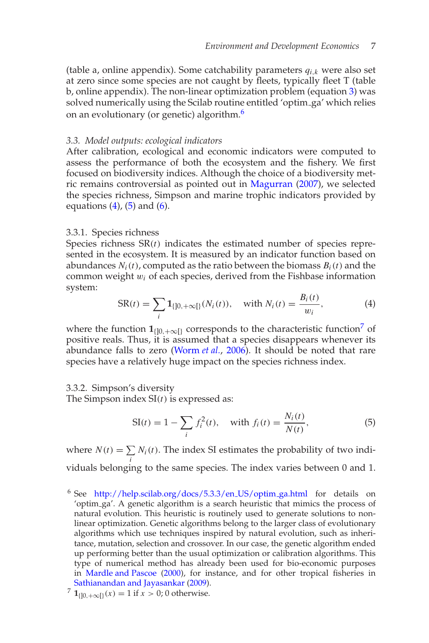(table a, online appendix). Some catchability parameters *qi*,*<sup>k</sup>* were also set at zero since some species are not caught by fleets, typically fleet T (table b, online appendix). The non-linear optimization problem (equation 3) was solved numerically using the Scilab routine entitled 'optim\_ga' which relies on an evolutionary (or genetic) algorithm.<sup>6</sup>

#### *3.3. Model outputs: ecological indicators*

After calibration, ecological and economic indicators were computed to assess the performance of both the ecosystem and the fishery. We first focused on biodiversity indices. Although the choice of a biodiversity metric remains controversial as pointed out in Magurran (2007), we selected the species richness, Simpson and marine trophic indicators provided by equations  $(4)$ ,  $(5)$  and  $(6)$ .

#### 3.3.1. Species richness

Species richness SR(*t*) indicates the estimated number of species represented in the ecosystem. It is measured by an indicator function based on abundances  $N_i(t)$ , computed as the ratio between the biomass  $B_i(t)$  and the common weight w*i* of each species, derived from the Fishbase information system:

$$
SR(t) = \sum_{i} \mathbf{1}_{\{j0, +\infty\}}(N_i(t)), \quad \text{with } N_i(t) = \frac{B_i(t)}{w_i}, \tag{4}
$$

where the function  $\mathbf{1}_{\{0,+\infty\}}$  corresponds to the characteristic function<sup>7</sup> of positive reals. Thus, it is assumed that a species disappears whenever its abundance falls to zero (Worm *et al.*, 2006). It should be noted that rare species have a relatively huge impact on the species richness index.

#### 3.3.2. Simpson's diversity

The Simpson index SI(*t*) is expressed as:

$$
SI(t) = 1 - \sum_{i} f_i^2(t), \quad \text{with } f_i(t) = \frac{N_i(t)}{N(t)},
$$
 (5)

where  $N(t) = \sum N_i(t)$ . The index SI estimates the probability of two indi*i* viduals belonging to the same species. The index varies between 0 and 1.

<sup>6</sup> See [http://help.scilab.org/docs/5.3.3/en](http://help.scilab.org/docs/5.3.3/en_US/optim_ga.html)\_US/optim\_ga.html for details on 'optim ga'. A genetic algorithm is a search heuristic that mimics the process of natural evolution. This heuristic is routinely used to generate solutions to nonlinear optimization. Genetic algorithms belong to the larger class of evolutionary algorithms which use techniques inspired by natural evolution, such as inheritance, mutation, selection and crossover. In our case, the genetic algorithm ended up performing better than the usual optimization or calibration algorithms. This type of numerical method has already been used for bio-economic purposes in Mardle and Pascoe (2000), for instance, and for other tropical fisheries in Sathianandan and Jayasankar (2009).

<sup>&</sup>lt;sup>7</sup> **1**<sub>{10,+∞{}</sub>(*x*) = 1 if *x* > 0; 0 otherwise.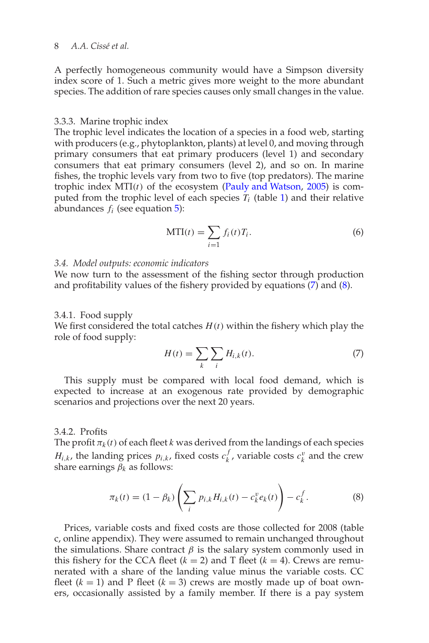# 8 *A.A.* Cissé et al.

A perfectly homogeneous community would have a Simpson diversity index score of 1. Such a metric gives more weight to the more abundant species. The addition of rare species causes only small changes in the value.

#### 3.3.3. Marine trophic index

The trophic level indicates the location of a species in a food web, starting with producers (e.g., phytoplankton, plants) at level 0, and moving through primary consumers that eat primary producers (level 1) and secondary consumers that eat primary consumers (level 2), and so on. In marine fishes, the trophic levels vary from two to five (top predators). The marine trophic index MTI(*t*) of the ecosystem (Pauly and Watson, 2005) is computed from the trophic level of each species  $T_i$  (table 1) and their relative abundances  $f_i$  (see equation  $\overline{5}$ ):

$$
MTI(t) = \sum_{i=1} f_i(t)T_i.
$$
 (6)

## *3.4. Model outputs: economic indicators*

We now turn to the assessment of the fishing sector through production and profitability values of the fishery provided by equations (7) and (8).

#### 3.4.1. Food supply

We first considered the total catches  $H(t)$  within the fishery which play the role of food supply:

$$
H(t) = \sum_{k} \sum_{i} H_{i,k}(t). \tag{7}
$$

This supply must be compared with local food demand, which is expected to increase at an exogenous rate provided by demographic scenarios and projections over the next 20 years.

## 3.4.2. Profits

The profit  $\pi_k(t)$  of each fleet *k* was derived from the landings of each species *H*<sub>*i*,*k*</sub>, the landing prices  $p_{i,k}$ , fixed costs  $c_k^f$ , variable costs  $c_k^v$  and the crew share earnings  $\beta_k$  as follows:

$$
\pi_k(t) = (1 - \beta_k) \left( \sum_i p_{i,k} H_{i,k}(t) - c_k^v e_k(t) \right) - c_k^f. \tag{8}
$$

Prices, variable costs and fixed costs are those collected for 2008 (table c, online appendix). They were assumed to remain unchanged throughout the simulations. Share contract  $\beta$  is the salary system commonly used in this fishery for the CCA fleet  $(k = 2)$  and T fleet  $(k = 4)$ . Crews are remunerated with a share of the landing value minus the variable costs. CC fleet  $(k = 1)$  and P fleet  $(k = 3)$  crews are mostly made up of boat owners, occasionally assisted by a family member. If there is a pay system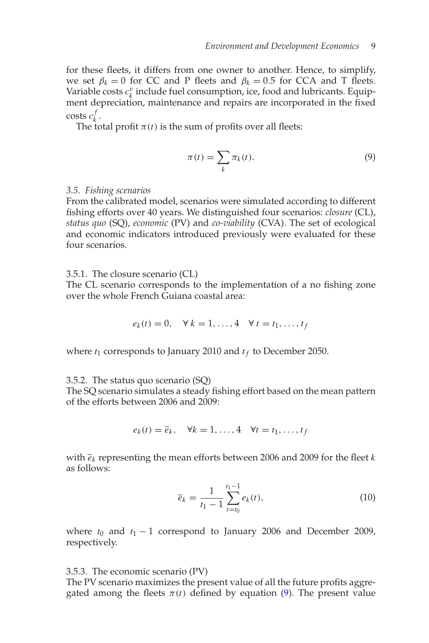for these fleets, it differs from one owner to another. Hence, to simplify, we set  $\beta_k = 0$  for CC and P fleets and  $\beta_k = 0.5$  for CCA and T fleets. Variable costs  $c_k^v$  include fuel consumption, ice, food and lubricants. Equipment depreciation, maintenance and repairs are incorporated in the fixed  $\cosh c_k^f$ .

The total profit  $\pi(t)$  is the sum of profits over all fleets:

$$
\pi(t) = \sum_{k} \pi_k(t). \tag{9}
$$

## *3.5. Fishing scenarios*

From the calibrated model, scenarios were simulated according to different fishing efforts over 40 years. We distinguished four scenarios: *closure* (CL), *status quo* (SQ), *economic* (PV) and *co-viability* (CVA). The set of ecological and economic indicators introduced previously were evaluated for these four scenarios.

3.5.1. The closure scenario (CL)

The CL scenario corresponds to the implementation of a no fishing zone over the whole French Guiana coastal area:

$$
e_k(t) = 0, \quad \forall \ k = 1, ..., 4 \quad \forall \ t = t_1, ..., t_f
$$

where  $t_1$  corresponds to January 2010 and  $t_f$  to December 2050.

3.5.2. The status quo scenario (SQ)

The SQ scenario simulates a steady fishing effort based on the mean pattern of the efforts between 2006 and 2009:

$$
e_k(t) = \overline{e}_k, \quad \forall k = 1, \ldots, 4 \quad \forall t = t_1, \ldots, t_f
$$

with *ek* representing the mean efforts between 2006 and 2009 for the fleet *k* as follows:

$$
\overline{e}_k = \frac{1}{t_1 - 1} \sum_{t = t_0}^{t_1 - 1} e_k(t),
$$
\n(10)

where  $t_0$  and  $t_1 - 1$  correspond to January 2006 and December 2009, respectively.

3.5.3. The economic scenario (PV)

The PV scenario maximizes the present value of all the future profits aggregated among the fleets  $\pi(t)$  defined by equation (9). The present value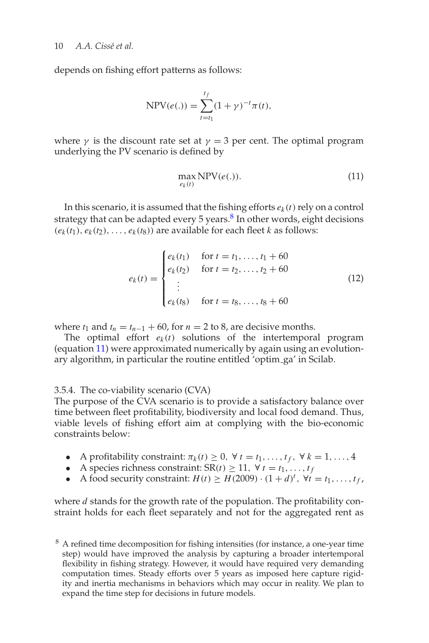depends on fishing effort patterns as follows:

$$
\text{NPV}(e(.)) = \sum_{t=t_1}^{t_f} (1 + \gamma)^{-t} \pi(t),
$$

where  $\gamma$  is the discount rate set at  $\gamma = 3$  per cent. The optimal program underlying the PV scenario is defined by

$$
\max_{e_k(t)} \text{NPV}(e(.)).\tag{11}
$$

In this scenario, it is assumed that the fishing efforts  $e_k(t)$  rely on a control strategy that can be adapted every 5 years. $8$  In other words, eight decisions  $(e_k(t_1), e_k(t_2), \ldots, e_k(t_8))$  are available for each fleet *k* as follows:

$$
e_k(t) = \begin{cases} e_k(t_1) & \text{for } t = t_1, \dots, t_1 + 60 \\ e_k(t_2) & \text{for } t = t_2, \dots, t_2 + 60 \\ \vdots & \vdots \\ e_k(t_8) & \text{for } t = t_8, \dots, t_8 + 60 \end{cases} \tag{12}
$$

where  $t_1$  and  $t_n = t_{n-1} + 60$ , for  $n = 2$  to 8, are decisive months.

The optimal effort  $e_k(t)$  solutions of the intertemporal program (equation 11) were approximated numerically by again using an evolutionary algorithm, in particular the routine entitled 'optim ga' in Scilab.

## 3.5.4. The co-viability scenario (CVA)

The purpose of the CVA scenario is to provide a satisfactory balance over time between fleet profitability, biodiversity and local food demand. Thus, viable levels of fishing effort aim at complying with the bio-economic constraints below:

- A profitability constraint:  $\pi_k(t) \geq 0$ ,  $\forall t = t_1, \ldots, t_f$ ,  $\forall k = 1, \ldots, 4$
- A species richness constraint:  $SR(t) \geq 11$ ,  $\forall t = t_1, \ldots, t_f$
- A food security constraint: *H*(*t*)  $\geq$  *H*(2009) ·  $(1 + d)^t$ ,  $\forall t = t_1, ..., t_f$ ,

where *d* stands for the growth rate of the population. The profitability constraint holds for each fleet separately and not for the aggregated rent as

<sup>&</sup>lt;sup>8</sup> A refined time decomposition for fishing intensities (for instance, a one-year time step) would have improved the analysis by capturing a broader intertemporal flexibility in fishing strategy. However, it would have required very demanding computation times. Steady efforts over 5 years as imposed here capture rigidity and inertia mechanisms in behaviors which may occur in reality. We plan to expand the time step for decisions in future models.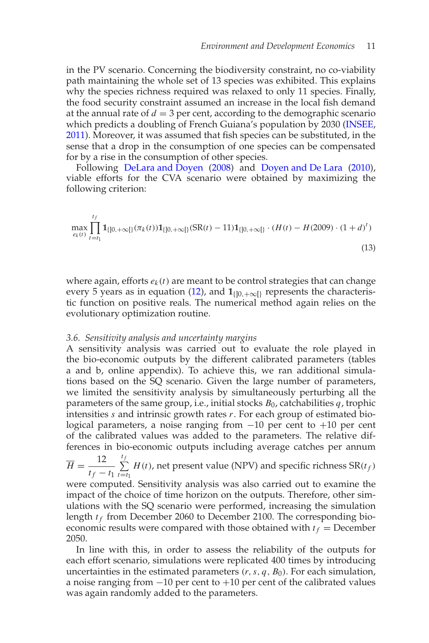in the PV scenario. Concerning the biodiversity constraint, no co-viability path maintaining the whole set of 13 species was exhibited. This explains why the species richness required was relaxed to only 11 species. Finally, the food security constraint assumed an increase in the local fish demand at the annual rate of  $d = 3$  per cent, according to the demographic scenario which predicts a doubling of French Guiana's population by 2030 (INSEE, 2011). Moreover, it was assumed that fish species can be substituted, in the sense that a drop in the consumption of one species can be compensated for by a rise in the consumption of other species.

Following DeLara and Doyen (2008) and Doyen and De Lara (2010), viable efforts for the CVA scenario were obtained by maximizing the following criterion:

$$
\max_{e_k(t)} \prod_{t=t_1}^{t_f} \mathbf{1}_{\{ ]0,+\infty[ \}} (\pi_k(t)) \mathbf{1}_{\{ ]0,+\infty[ \}}(SR(t)-11) \mathbf{1}_{\{ ]0,+\infty[ \}} \cdot (H(t)-H(2009) \cdot (1+d)^t)
$$
\n(13)

where again, efforts  $e_k(t)$  are meant to be control strategies that can change every 5 years as in equation (12), and  $1_{[0,+\infty[}$  represents the characteristic function on positive reals. The numerical method again relies on the evolutionary optimization routine.

## *3.6. Sensitivity analysis and uncertainty margins*

A sensitivity analysis was carried out to evaluate the role played in the bio-economic outputs by the different calibrated parameters (tables a and b, online appendix). To achieve this, we ran additional simulations based on the SQ scenario. Given the large number of parameters, we limited the sensitivity analysis by simultaneously perturbing all the parameters of the same group, i.e., initial stocks *B*0, catchabilities *q*, trophic intensities *s* and intrinsic growth rates *r*. For each group of estimated biological parameters, a noise ranging from −10 per cent to +10 per cent of the calibrated values was added to the parameters. The relative differences in bio-economic outputs including average catches per annum

 $\overline{H} = \frac{12}{1}$  $t_f - t_1$ *t*  $\sum^{I_f}$  $\sum_{t=t_1} H(t)$ , net present value (NPV) and specific richness  $SR(t_f)$ were computed. Sensitivity analysis was also carried out to examine the impact of the choice of time horizon on the outputs. Therefore, other simulations with the SQ scenario were performed, increasing the simulation length  $t_f$  from December 2060 to December 2100. The corresponding bioeconomic results were compared with those obtained with  $t_f$  = December 2050.

In line with this, in order to assess the reliability of the outputs for each effort scenario, simulations were replicated 400 times by introducing uncertainties in the estimated parameters  $(r, s, q, B_0)$ . For each simulation, a noise ranging from −10 per cent to +10 per cent of the calibrated values was again randomly added to the parameters.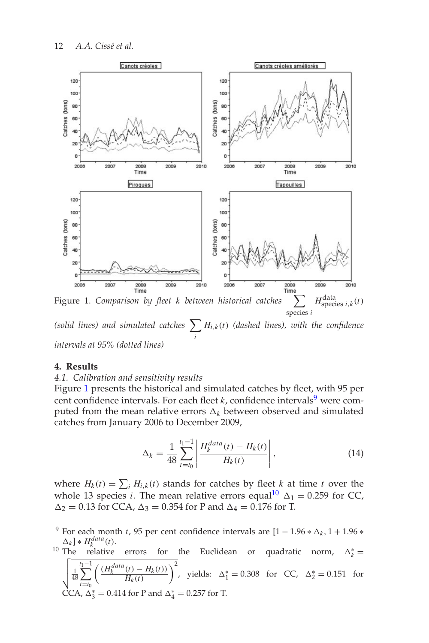

*(solid lines) and simulated catches i*  $\sum H_{i,k}(t)$  *(dashed lines), with the confidence intervals at 95% (dotted lines)*

# **4. Results**

## *4.1. Calibration and sensitivity results*

Figure 1 presents the historical and simulated catches by fleet, with 95 per cent confidence intervals. For each fleet  $k$ , confidence intervals<sup>9</sup> were computed from the mean relative errors  $\Delta_k$  between observed and simulated catches from January 2006 to December 2009,

$$
\Delta_k = \frac{1}{48} \sum_{t=t_0}^{t_1 - 1} \left| \frac{H_k^{data}(t) - H_k(t)}{H_k(t)} \right|,
$$
\n(14)

where  $H_k(t) = \sum_i H_{i,k}(t)$  stands for catches by fleet *k* at time *t* over the whole 13 species *i*. The mean relative errors equal<sup>10</sup>  $\Delta_1 = 0.259$  for CC,  $\Delta_2 = 0.13$  for CCA,  $\Delta_3 = 0.354$  for P and  $\Delta_4 = 0.176$  for T.

For each month *t*, 95 per cent confidence intervals are  $[1 - 1.96 * \Delta_k, 1 + 1.96 *$  $\Delta_k$  ] \*  $H_k^{data}(t)$ .<br><sup>10</sup> The relative

 $\Delta_k$   $\parallel * H_k^{data}(t)$ .<br><sup>10</sup> The relative errors for the Euclidean or quadratic norm,  $\Delta_k^* =$  $\frac{1}{48}$ 48 *t*  $\sum_{ }^{t_{1}-1}$ *t*=*t*<sup>0</sup>  $\int \frac{(H_k^{data}(t) - H_k(t))}{(t)}$  $H_k(t)$  $\int_0^2$ , yields: ∆<sub>1</sub><sup>\*</sup> = 0.308 for CC, ∆<sub>2</sub><sup>\*</sup> = 0.151 for CCA,  $\Delta_3^* = 0.414$  for P and  $\Delta_4^* = 0.257$  for T.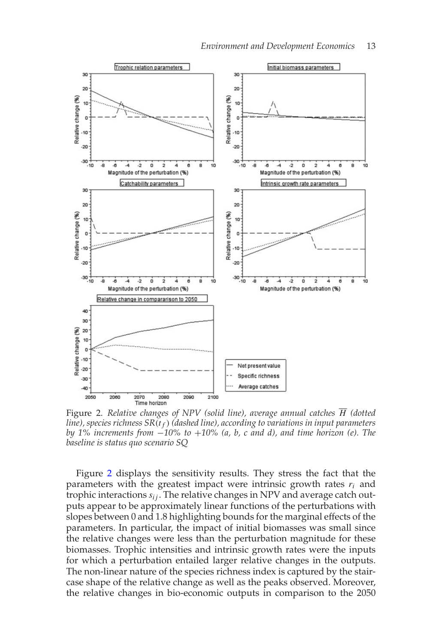

Figure 2. *Relative changes of NPV (solid line), average annual catches H (dotted line), species richness SR*(*t f* ) *(dashed line), according to variations in input parameters by 1% increments from* −*10% to* +*10% (a, b, c and d), and time horizon (e). The baseline is status quo scenario SQ*

Figure 2 displays the sensitivity results. They stress the fact that the parameters with the greatest impact were intrinsic growth rates *ri* and trophic interactions  $s_{ij}$ . The relative changes in NPV and average catch outputs appear to be approximately linear functions of the perturbations with slopes between 0 and 1.8 highlighting bounds for the marginal effects of the parameters. In particular, the impact of initial biomasses was small since the relative changes were less than the perturbation magnitude for these biomasses. Trophic intensities and intrinsic growth rates were the inputs for which a perturbation entailed larger relative changes in the outputs. The non-linear nature of the species richness index is captured by the staircase shape of the relative change as well as the peaks observed. Moreover, the relative changes in bio-economic outputs in comparison to the 2050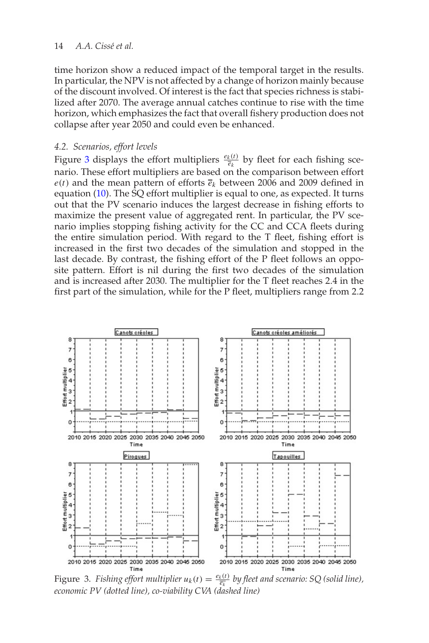## 14 *A.A.* Cissé et al.

time horizon show a reduced impact of the temporal target in the results. In particular, the NPV is not affected by a change of horizon mainly because of the discount involved. Of interest is the fact that species richness is stabilized after 2070. The average annual catches continue to rise with the time horizon, which emphasizes the fact that overall fishery production does not collapse after year 2050 and could even be enhanced.

## *4.2. Scenarios, effort levels*

Figure 3 displays the effort multipliers  $\frac{e_k(t)}{\bar{e}_k}$  by fleet for each fishing scenario. These effort multipliers are based on the comparison between effort  $e(t)$  and the mean pattern of efforts  $\bar{e}_k$  between 2006 and 2009 defined in equation (10). The SQ effort multiplier is equal to one, as expected. It turns out that the PV scenario induces the largest decrease in fishing efforts to maximize the present value of aggregated rent. In particular, the PV scenario implies stopping fishing activity for the CC and CCA fleets during the entire simulation period. With regard to the T fleet, fishing effort is increased in the first two decades of the simulation and stopped in the last decade. By contrast, the fishing effort of the P fleet follows an opposite pattern. Effort is nil during the first two decades of the simulation and is increased after 2030. The multiplier for the T fleet reaches 2.4 in the first part of the simulation, while for the P fleet, multipliers range from 2.2



Figure 3. *Fishing effort multiplier*  $u_k(t) = \frac{e_k(t)}{\overline{e_k}}$  by fleet and scenario: SQ (solid line), *economic PV (dotted line), co-viability CVA (dashed line)*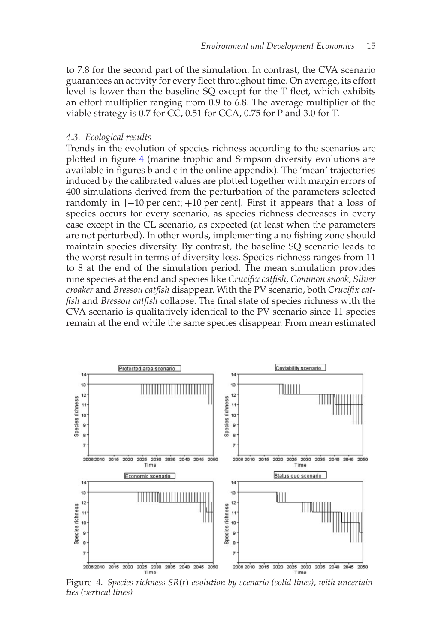to 7.8 for the second part of the simulation. In contrast, the CVA scenario guarantees an activity for every fleet throughout time. On average, its effort level is lower than the baseline SQ except for the T fleet, which exhibits an effort multiplier ranging from 0.9 to 6.8. The average multiplier of the viable strategy is 0.7 for CC, 0.51 for CCA, 0.75 for P and 3.0 for T.

## *4.3. Ecological results*

Trends in the evolution of species richness according to the scenarios are plotted in figure 4 (marine trophic and Simpson diversity evolutions are available in figures b and c in the online appendix). The 'mean' trajectories induced by the calibrated values are plotted together with margin errors of 400 simulations derived from the perturbation of the parameters selected randomly in [−10 per cent; +10 per cent]. First it appears that a loss of species occurs for every scenario, as species richness decreases in every case except in the CL scenario, as expected (at least when the parameters are not perturbed). In other words, implementing a no fishing zone should maintain species diversity. By contrast, the baseline SQ scenario leads to the worst result in terms of diversity loss. Species richness ranges from 11 to 8 at the end of the simulation period. The mean simulation provides nine species at the end and species like *Crucifix catfish*, *Common snook*, *Silver croaker* and *Bressou catfish* disappear. With the PV scenario, both *Crucifix catfish* and *Bressou catfish* collapse. The final state of species richness with the CVA scenario is qualitatively identical to the PV scenario since 11 species remain at the end while the same species disappear. From mean estimated



Figure 4. *Species richness SR*(*t*) *evolution by scenario (solid lines), with uncertainties (vertical lines)*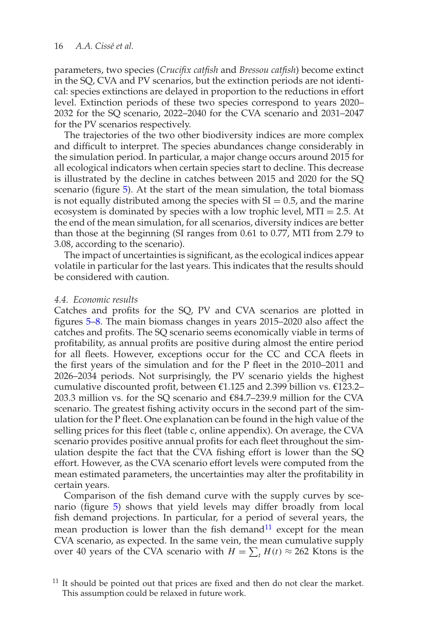parameters, two species (*Crucifix catfish* and *Bressou catfish*) become extinct in the SQ, CVA and PV scenarios, but the extinction periods are not identical: species extinctions are delayed in proportion to the reductions in effort level. Extinction periods of these two species correspond to years 2020– 2032 for the SQ scenario, 2022–2040 for the CVA scenario and 2031–2047 for the PV scenarios respectively.

The trajectories of the two other biodiversity indices are more complex and difficult to interpret. The species abundances change considerably in the simulation period. In particular, a major change occurs around 2015 for all ecological indicators when certain species start to decline. This decrease is illustrated by the decline in catches between 2015 and 2020 for the SQ scenario (figure 5). At the start of the mean simulation, the total biomass is not equally distributed among the species with  $SI = 0.5$ , and the marine ecosystem is dominated by species with a low trophic level,  $MTI = 2.5$ . At the end of the mean simulation, for all scenarios, diversity indices are better than those at the beginning (SI ranges from 0.61 to 0.77, MTI from 2.79 to 3.08, according to the scenario).

The impact of uncertainties is significant, as the ecological indices appear volatile in particular for the last years. This indicates that the results should be considered with caution.

#### *4.4. Economic results*

Catches and profits for the SQ, PV and CVA scenarios are plotted in figures 5–8. The main biomass changes in years 2015–2020 also affect the catches and profits. The SQ scenario seems economically viable in terms of profitability, as annual profits are positive during almost the entire period for all fleets. However, exceptions occur for the CC and CCA fleets in the first years of the simulation and for the P fleet in the 2010–2011 and 2026–2034 periods. Not surprisingly, the PV scenario yields the highest cumulative discounted profit, between €1.125 and 2.399 billion vs. €123.2– 203.3 million vs. for the SQ scenario and €84.7–239.9 million for the CVA scenario. The greatest fishing activity occurs in the second part of the simulation for the P fleet. One explanation can be found in the high value of the selling prices for this fleet (table c, online appendix). On average, the CVA scenario provides positive annual profits for each fleet throughout the simulation despite the fact that the CVA fishing effort is lower than the SQ effort. However, as the CVA scenario effort levels were computed from the mean estimated parameters, the uncertainties may alter the profitability in certain years.

Comparison of the fish demand curve with the supply curves by scenario (figure 5) shows that yield levels may differ broadly from local fish demand projections. In particular, for a period of several years, the mean production is lower than the fish demand $11$  except for the mean CVA scenario, as expected. In the same vein, the mean cumulative supply over 40 years of the CVA scenario with  $H = \sum_t H(t) \approx 262$  Ktons is the

 $11$  It should be pointed out that prices are fixed and then do not clear the market. This assumption could be relaxed in future work.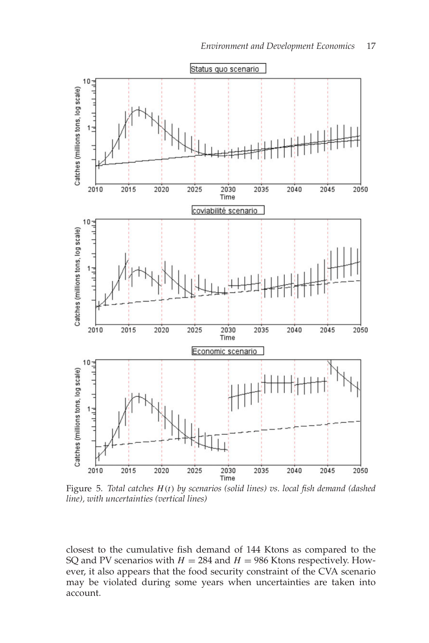

Figure 5. *Total catches H*(*t*) *by scenarios (solid lines) vs. local fish demand (dashed line), with uncertainties (vertical lines)*

closest to the cumulative fish demand of 144 Ktons as compared to the SQ and PV scenarios with  $H = 284$  and  $H = 986$  Ktons respectively. However, it also appears that the food security constraint of the CVA scenario may be violated during some years when uncertainties are taken into account.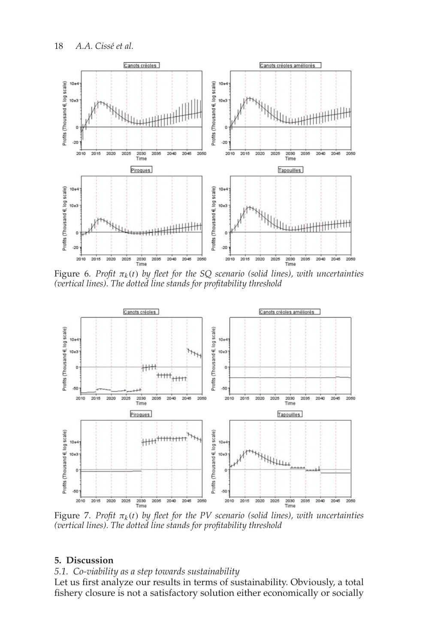

Figure 6. *Profit* π*k* (*t*) *by fleet for the SQ scenario (solid lines), with uncertainties (vertical lines). The dotted line stands for profitability threshold*



Figure 7. *Profit* π*k* (*t*) *by fleet for the PV scenario (solid lines), with uncertainties (vertical lines). The dotted line stands for profitability threshold*

# **5. Discussion**

# *5.1. Co-viability as a step towards sustainability*

Let us first analyze our results in terms of sustainability. Obviously, a total fishery closure is not a satisfactory solution either economically or socially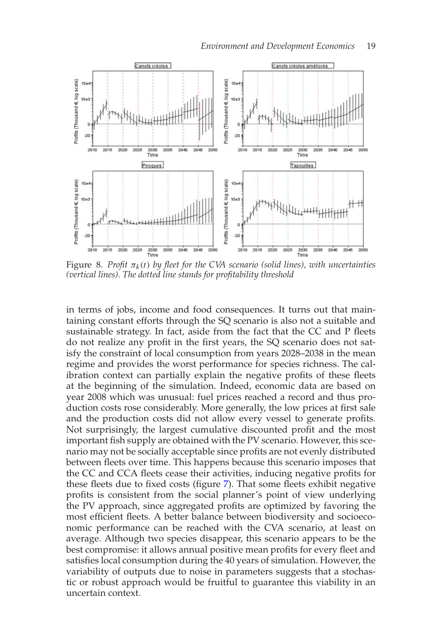

Figure 8. Profit  $\pi_k(t)$  by fleet for the CVA scenario (solid lines), with uncertainties *(vertical lines). The dotted line stands for profitability threshold*

in terms of jobs, income and food consequences. It turns out that maintaining constant efforts through the SQ scenario is also not a suitable and sustainable strategy. In fact, aside from the fact that the CC and P fleets do not realize any profit in the first years, the SQ scenario does not satisfy the constraint of local consumption from years 2028–2038 in the mean regime and provides the worst performance for species richness. The calibration context can partially explain the negative profits of these fleets at the beginning of the simulation. Indeed, economic data are based on year 2008 which was unusual: fuel prices reached a record and thus production costs rose considerably. More generally, the low prices at first sale and the production costs did not allow every vessel to generate profits. Not surprisingly, the largest cumulative discounted profit and the most important fish supply are obtained with the PV scenario. However, this scenario may not be socially acceptable since profits are not evenly distributed between fleets over time. This happens because this scenario imposes that the CC and CCA fleets cease their activities, inducing negative profits for these fleets due to fixed costs (figure 7). That some fleets exhibit negative profits is consistent from the social planner's point of view underlying the PV approach, since aggregated profits are optimized by favoring the most efficient fleets. A better balance between biodiversity and socioeconomic performance can be reached with the CVA scenario, at least on average. Although two species disappear, this scenario appears to be the best compromise: it allows annual positive mean profits for every fleet and satisfies local consumption during the 40 years of simulation. However, the variability of outputs due to noise in parameters suggests that a stochastic or robust approach would be fruitful to guarantee this viability in an uncertain context.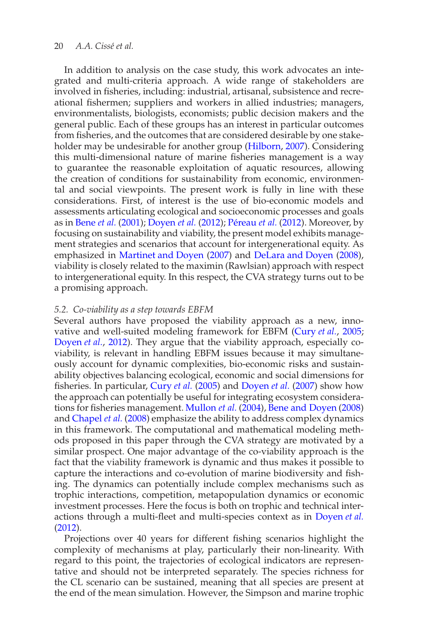In addition to analysis on the case study, this work advocates an integrated and multi-criteria approach. A wide range of stakeholders are involved in fisheries, including: industrial, artisanal, subsistence and recreational fishermen; suppliers and workers in allied industries; managers, environmentalists, biologists, economists; public decision makers and the general public. Each of these groups has an interest in particular outcomes from fisheries, and the outcomes that are considered desirable by one stakeholder may be undesirable for another group (Hilborn, 2007). Considering this multi-dimensional nature of marine fisheries management is a way to guarantee the reasonable exploitation of aquatic resources, allowing the creation of conditions for sustainability from economic, environmental and social viewpoints. The present work is fully in line with these considerations. First, of interest is the use of bio-economic models and assessments articulating ecological and socioeconomic processes and goals as in Bene *et al.* (2001); Doyen *et al.* (2012); Péreau *et al.* (2012). Moreover, by focusing on sustainability and viability, the present model exhibits management strategies and scenarios that account for intergenerational equity. As emphasized in Martinet and Doyen (2007) and DeLara and Doyen (2008), viability is closely related to the maximin (Rawlsian) approach with respect to intergenerational equity. In this respect, the CVA strategy turns out to be a promising approach.

# *5.2. Co-viability as a step towards EBFM*

Several authors have proposed the viability approach as a new, innovative and well-suited modeling framework for EBFM (Cury *et al.*, 2005; Doyen *et al.*, 2012). They argue that the viability approach, especially coviability, is relevant in handling EBFM issues because it may simultaneously account for dynamic complexities, bio-economic risks and sustainability objectives balancing ecological, economic and social dimensions for fisheries. In particular, Cury *et al.* (2005) and Doyen *et al.* (2007) show how the approach can potentially be useful for integrating ecosystem considerations for fisheries management. Mullon *et al.* (2004), Bene and Doyen (2008) and Chapel *et al.* (2008) emphasize the ability to address complex dynamics in this framework. The computational and mathematical modeling methods proposed in this paper through the CVA strategy are motivated by a similar prospect. One major advantage of the co-viability approach is the fact that the viability framework is dynamic and thus makes it possible to capture the interactions and co-evolution of marine biodiversity and fishing. The dynamics can potentially include complex mechanisms such as trophic interactions, competition, metapopulation dynamics or economic investment processes. Here the focus is both on trophic and technical interactions through a multi-fleet and multi-species context as in Doyen *et al.* (2012).

Projections over 40 years for different fishing scenarios highlight the complexity of mechanisms at play, particularly their non-linearity. With regard to this point, the trajectories of ecological indicators are representative and should not be interpreted separately. The species richness for the CL scenario can be sustained, meaning that all species are present at the end of the mean simulation. However, the Simpson and marine trophic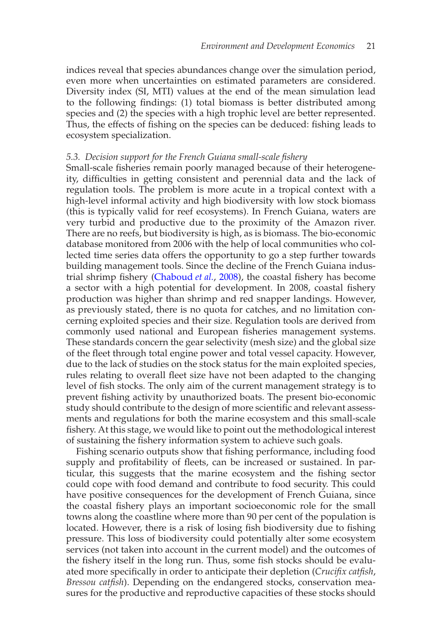indices reveal that species abundances change over the simulation period, even more when uncertainties on estimated parameters are considered. Diversity index (SI, MTI) values at the end of the mean simulation lead to the following findings: (1) total biomass is better distributed among species and (2) the species with a high trophic level are better represented. Thus, the effects of fishing on the species can be deduced: fishing leads to ecosystem specialization.

# *5.3. Decision support for the French Guiana small-scale fishery*

Small-scale fisheries remain poorly managed because of their heterogeneity, difficulties in getting consistent and perennial data and the lack of regulation tools. The problem is more acute in a tropical context with a high-level informal activity and high biodiversity with low stock biomass (this is typically valid for reef ecosystems). In French Guiana, waters are very turbid and productive due to the proximity of the Amazon river. There are no reefs, but biodiversity is high, as is biomass. The bio-economic database monitored from 2006 with the help of local communities who collected time series data offers the opportunity to go a step further towards building management tools. Since the decline of the French Guiana industrial shrimp fishery (Chaboud *et al.*, 2008), the coastal fishery has become a sector with a high potential for development. In 2008, coastal fishery production was higher than shrimp and red snapper landings. However, as previously stated, there is no quota for catches, and no limitation concerning exploited species and their size. Regulation tools are derived from commonly used national and European fisheries management systems. These standards concern the gear selectivity (mesh size) and the global size of the fleet through total engine power and total vessel capacity. However, due to the lack of studies on the stock status for the main exploited species, rules relating to overall fleet size have not been adapted to the changing level of fish stocks. The only aim of the current management strategy is to prevent fishing activity by unauthorized boats. The present bio-economic study should contribute to the design of more scientific and relevant assessments and regulations for both the marine ecosystem and this small-scale fishery. At this stage, we would like to point out the methodological interest of sustaining the fishery information system to achieve such goals.

Fishing scenario outputs show that fishing performance, including food supply and profitability of fleets, can be increased or sustained. In particular, this suggests that the marine ecosystem and the fishing sector could cope with food demand and contribute to food security. This could have positive consequences for the development of French Guiana, since the coastal fishery plays an important socioeconomic role for the small towns along the coastline where more than 90 per cent of the population is located. However, there is a risk of losing fish biodiversity due to fishing pressure. This loss of biodiversity could potentially alter some ecosystem services (not taken into account in the current model) and the outcomes of the fishery itself in the long run. Thus, some fish stocks should be evaluated more specifically in order to anticipate their depletion (*Crucifix catfish*, *Bressou catfish*). Depending on the endangered stocks, conservation measures for the productive and reproductive capacities of these stocks should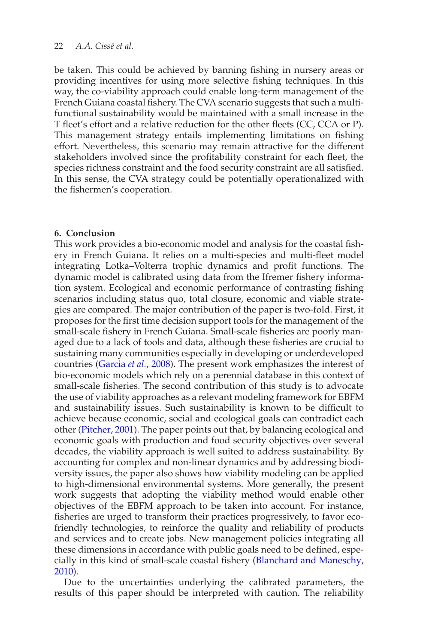# 22 *A.A.* Cissé et al.

be taken. This could be achieved by banning fishing in nursery areas or providing incentives for using more selective fishing techniques. In this way, the co-viability approach could enable long-term management of the French Guiana coastal fishery. The CVA scenario suggests that such a multifunctional sustainability would be maintained with a small increase in the T fleet's effort and a relative reduction for the other fleets (CC, CCA or P). This management strategy entails implementing limitations on fishing effort. Nevertheless, this scenario may remain attractive for the different stakeholders involved since the profitability constraint for each fleet, the species richness constraint and the food security constraint are all satisfied. In this sense, the CVA strategy could be potentially operationalized with the fishermen's cooperation.

## **6. Conclusion**

This work provides a bio-economic model and analysis for the coastal fishery in French Guiana. It relies on a multi-species and multi-fleet model integrating Lotka–Volterra trophic dynamics and profit functions. The dynamic model is calibrated using data from the Ifremer fishery information system. Ecological and economic performance of contrasting fishing scenarios including status quo, total closure, economic and viable strategies are compared. The major contribution of the paper is two-fold. First, it proposes for the first time decision support tools for the management of the small-scale fishery in French Guiana. Small-scale fisheries are poorly managed due to a lack of tools and data, although these fisheries are crucial to sustaining many communities especially in developing or underdeveloped countries (Garcia *et al.*, 2008). The present work emphasizes the interest of bio-economic models which rely on a perennial database in this context of small-scale fisheries. The second contribution of this study is to advocate the use of viability approaches as a relevant modeling framework for EBFM and sustainability issues. Such sustainability is known to be difficult to achieve because economic, social and ecological goals can contradict each other (Pitcher, 2001). The paper points out that, by balancing ecological and economic goals with production and food security objectives over several decades, the viability approach is well suited to address sustainability. By accounting for complex and non-linear dynamics and by addressing biodiversity issues, the paper also shows how viability modeling can be applied to high-dimensional environmental systems. More generally, the present work suggests that adopting the viability method would enable other objectives of the EBFM approach to be taken into account. For instance, fisheries are urged to transform their practices progressively, to favor ecofriendly technologies, to reinforce the quality and reliability of products and services and to create jobs. New management policies integrating all these dimensions in accordance with public goals need to be defined, especially in this kind of small-scale coastal fishery (Blanchard and Maneschy, 2010).

Due to the uncertainties underlying the calibrated parameters, the results of this paper should be interpreted with caution. The reliability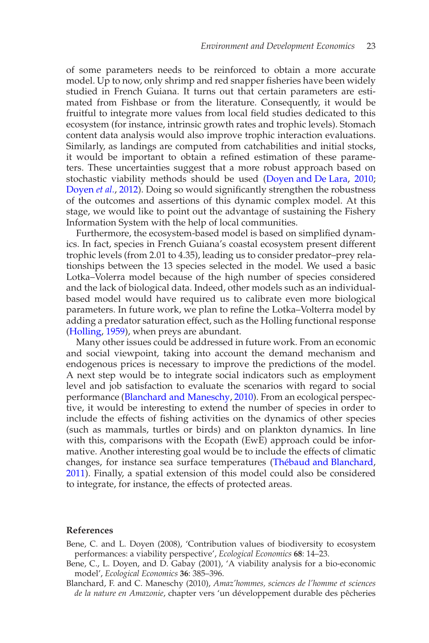of some parameters needs to be reinforced to obtain a more accurate model. Up to now, only shrimp and red snapper fisheries have been widely studied in French Guiana. It turns out that certain parameters are estimated from Fishbase or from the literature. Consequently, it would be fruitful to integrate more values from local field studies dedicated to this ecosystem (for instance, intrinsic growth rates and trophic levels). Stomach content data analysis would also improve trophic interaction evaluations. Similarly, as landings are computed from catchabilities and initial stocks, it would be important to obtain a refined estimation of these parameters. These uncertainties suggest that a more robust approach based on stochastic viability methods should be used (Doyen and De Lara, 2010; Doyen *et al.*, 2012). Doing so would significantly strengthen the robustness of the outcomes and assertions of this dynamic complex model. At this stage, we would like to point out the advantage of sustaining the Fishery Information System with the help of local communities.

Furthermore, the ecosystem-based model is based on simplified dynamics. In fact, species in French Guiana's coastal ecosystem present different trophic levels (from 2.01 to 4.35), leading us to consider predator–prey relationships between the 13 species selected in the model. We used a basic Lotka–Volerra model because of the high number of species considered and the lack of biological data. Indeed, other models such as an individualbased model would have required us to calibrate even more biological parameters. In future work, we plan to refine the Lotka–Volterra model by adding a predator saturation effect, such as the Holling functional response (Holling, 1959), when preys are abundant.

Many other issues could be addressed in future work. From an economic and social viewpoint, taking into account the demand mechanism and endogenous prices is necessary to improve the predictions of the model. A next step would be to integrate social indicators such as employment level and job satisfaction to evaluate the scenarios with regard to social performance (Blanchard and Maneschy, 2010). From an ecological perspective, it would be interesting to extend the number of species in order to include the effects of fishing activities on the dynamics of other species (such as mammals, turtles or birds) and on plankton dynamics. In line with this, comparisons with the Ecopath (EwE) approach could be informative. Another interesting goal would be to include the effects of climatic changes, for instance sea surface temperatures (Thébaud and Blanchard, 2011). Finally, a spatial extension of this model could also be considered to integrate, for instance, the effects of protected areas.

## **References**

- Bene, C. and L. Doyen (2008), 'Contribution values of biodiversity to ecosystem performances: a viability perspective', *Ecological Economics* **68**: 14–23.
- Bene, C., L. Doyen, and D. Gabay (2001), 'A viability analysis for a bio-economic model', *Ecological Economics* **36**: 385–396.
- Blanchard, F. and C. Maneschy (2010), *Amaz'hommes, sciences de l'homme et sciences de la nature en Amazonie*, chapter vers 'un développement durable des pêcheries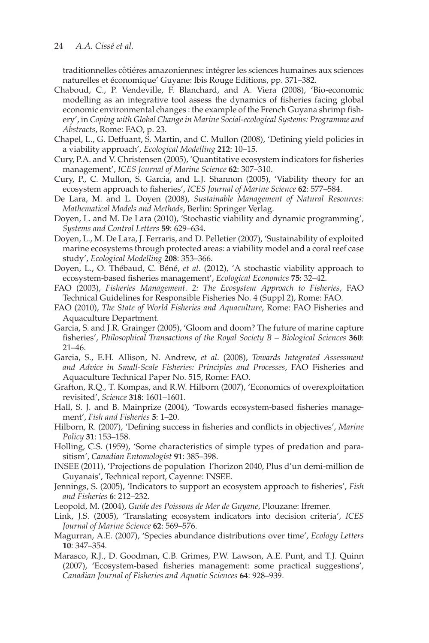traditionnelles côtiéres amazoniennes: intégrer les sciences humaines aux sciences naturelles et économique' Guyane: lbis Rouge Editions, pp. 371-382.

- Chaboud, C., P. Vendeville, F. Blanchard, and A. Viera (2008), 'Bio-economic modelling as an integrative tool assess the dynamics of fisheries facing global economic environmental changes : the example of the French Guyana shrimp fishery', in *Coping with Global Change in Marine Social-ecological Systems: Programme and Abstracts*, Rome: FAO, p. 23.
- Chapel, L., G. Deffuant, S. Martin, and C. Mullon (2008), 'Defining yield policies in a viability approach', *Ecological Modelling* **212**: 10–15.
- Cury, P.A. and V. Christensen (2005), 'Quantitative ecosystem indicators for fisheries management', *ICES Journal of Marine Science* **62**: 307–310.
- Cury, P., C. Mullon, S. Garcia, and L.J. Shannon (2005), 'Viability theory for an ecosystem approach to fisheries', *ICES Journal of Marine Science* **62**: 577–584.
- De Lara, M. and L. Doyen (2008), *Sustainable Management of Natural Resources: Mathematical Models and Methods*, Berlin: Springer Verlag.
- Doyen, L. and M. De Lara (2010), 'Stochastic viability and dynamic programming', *Systems and Control Letters* **59**: 629–634.
- Doyen, L., M. De Lara, J. Ferraris, and D. Pelletier (2007), 'Sustainability of exploited marine ecosystems through protected areas: a viability model and a coral reef case study', *Ecological Modelling* **208**: 353–366.
- Doyen, L., O. Thébaud, C. Béné, et al. (2012), 'A stochastic viability approach to ecosystem-based fisheries management', *Ecological Economics* **75**: 32–42.
- FAO (2003), *Fisheries Management. 2: The Ecosystem Approach to Fisheries*, FAO Technical Guidelines for Responsible Fisheries No. 4 (Suppl 2), Rome: FAO.
- FAO (2010), *The State of World Fisheries and Aquaculture*, Rome: FAO Fisheries and Aquaculture Department.
- Garcia, S. and J.R. Grainger (2005), 'Gloom and doom? The future of marine capture fisheries', *Philosophical Transactions of the Royal Society B – Biological Sciences* **360**: 21–46.
- Garcia, S., E.H. Allison, N. Andrew, *et al*. (2008), *Towards Integrated Assessment and Advice in Small-Scale Fisheries: Principles and Processes*, FAO Fisheries and Aquaculture Technical Paper No. 515, Rome: FAO.
- Grafton, R.Q., T. Kompas, and R.W. Hilborn (2007), 'Economics of overexploitation revisited', *Science* **318**: 1601–1601.
- Hall, S. J. and B. Mainprize (2004), 'Towards ecosystem-based fisheries management', *Fish and Fisheries* **5**: 1–20.
- Hilborn, R. (2007), 'Defining success in fisheries and conflicts in objectives', *Marine Policy* **31**: 153–158.
- Holling, C.S. (1959), 'Some characteristics of simple types of predation and parasitism', *Canadian Entomologist* **91**: 385–398.
- INSEE (2011), 'Projections de population l'horizon 2040, Plus d'un demi-million de Guyanais', Technical report, Cayenne: INSEE.
- Jennings, S. (2005), 'Indicators to support an ecosystem approach to fisheries', *Fish and Fisheries* **6**: 212–232.
- Leopold, M. (2004), *Guide des Poissons de Mer de Guyane*, Plouzane: Ifremer.
- Link, J.S. (2005), 'Translating ecosystem indicators into decision criteria', *ICES Journal of Marine Science* **62**: 569–576.
- Magurran, A.E. (2007), 'Species abundance distributions over time', *Ecology Letters* **10**: 347–354.
- Marasco, R.J., D. Goodman, C.B. Grimes, P.W. Lawson, A.E. Punt, and T.J. Quinn (2007), 'Ecosystem-based fisheries management: some practical suggestions', *Canadian Journal of Fisheries and Aquatic Sciences* **64**: 928–939.